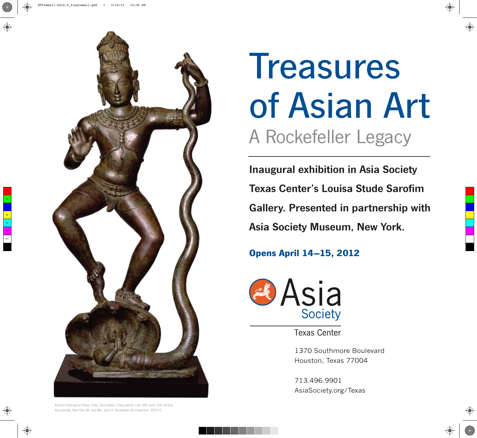



## Treasures of Asian Art A Rockefeller Legacy

Inaugural exhibition in Asia Society Texas Center's Louisa Stude Sarofim Gallery. Presented in partnership with Asia Society Museum, New York.

## **Opens April 14–15, 2012**



**Texas Center** 

1370 Southmore Boulevard Houston, Texas 77004

713.496.9901 AsiaSociety.org/Texas